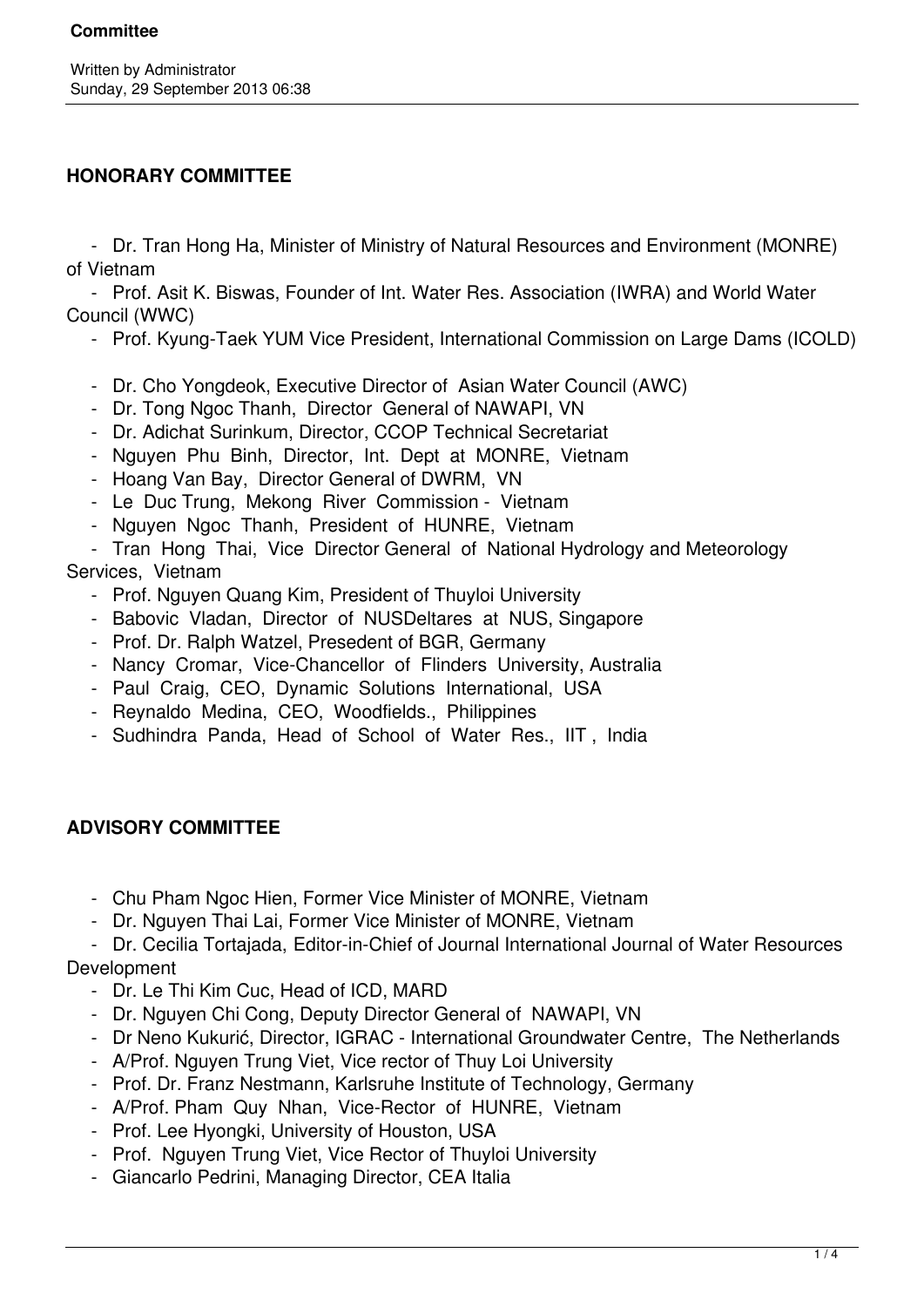## **HONORARY COMMITTEE**

 - Dr. Tran Hong Ha, Minister of Ministry of Natural Resources and Environment (MONRE) of Vietnam

 - Prof. Asit K. Biswas, Founder of Int. Water Res. Association (IWRA) and World Water Council (WWC)

- Prof. Kyung-Taek YUM Vice President, International Commission on Large Dams (ICOLD)
- Dr. Cho Yongdeok, Executive Director of Asian Water Council (AWC)
- Dr. Tong Ngoc Thanh, Director General of NAWAPI, VN
- Dr. Adichat Surinkum, Director, CCOP Technical Secretariat
- Nguyen Phu Binh, Director, Int. Dept at MONRE, Vietnam
- Hoang Van Bay, Director General of DWRM, VN
- Le Duc Trung, Mekong River Commission Vietnam
- Nguyen Ngoc Thanh, President of HUNRE, Vietnam

 - Tran Hong Thai, Vice Director General of National Hydrology and Meteorology Services, Vietnam

- Prof. Nguyen Quang Kim, President of Thuyloi University
- Babovic Vladan, Director of NUSDeltares at NUS, Singapore
- Prof. Dr. Ralph Watzel, Presedent of BGR, Germany
- Nancy Cromar, Vice-Chancellor of Flinders University, Australia
- Paul Craig, CEO, Dynamic Solutions International, USA
- Reynaldo Medina, CEO, Woodfields., Philippines
- Sudhindra Panda, Head of School of Water Res., IIT , India

## **ADVISORY COMMITTEE**

- Chu Pham Ngoc Hien, Former Vice Minister of MONRE, Vietnam
- Dr. Nguyen Thai Lai, Former Vice Minister of MONRE, Vietnam

 - Dr. Cecilia Tortajada, Editor-in-Chief of Journal International Journal of Water Resources **Development** 

- Dr. Le Thi Kim Cuc, Head of ICD, MARD
- Dr. Nguyen Chi Cong, Deputy Director General of NAWAPI, VN
- Dr Neno Kukurić, Director, IGRAC International Groundwater Centre, The Netherlands
- A/Prof. Nguyen Trung Viet, Vice rector of Thuy Loi University
- Prof. Dr. Franz Nestmann, Karlsruhe Institute of Technology, Germany
- A/Prof. Pham Quy Nhan, Vice-Rector of HUNRE, Vietnam
- Prof. Lee Hyongki, University of Houston, USA
- Prof. Nguyen Trung Viet, Vice Rector of Thuyloi University
- Giancarlo Pedrini, Managing Director, CEA Italia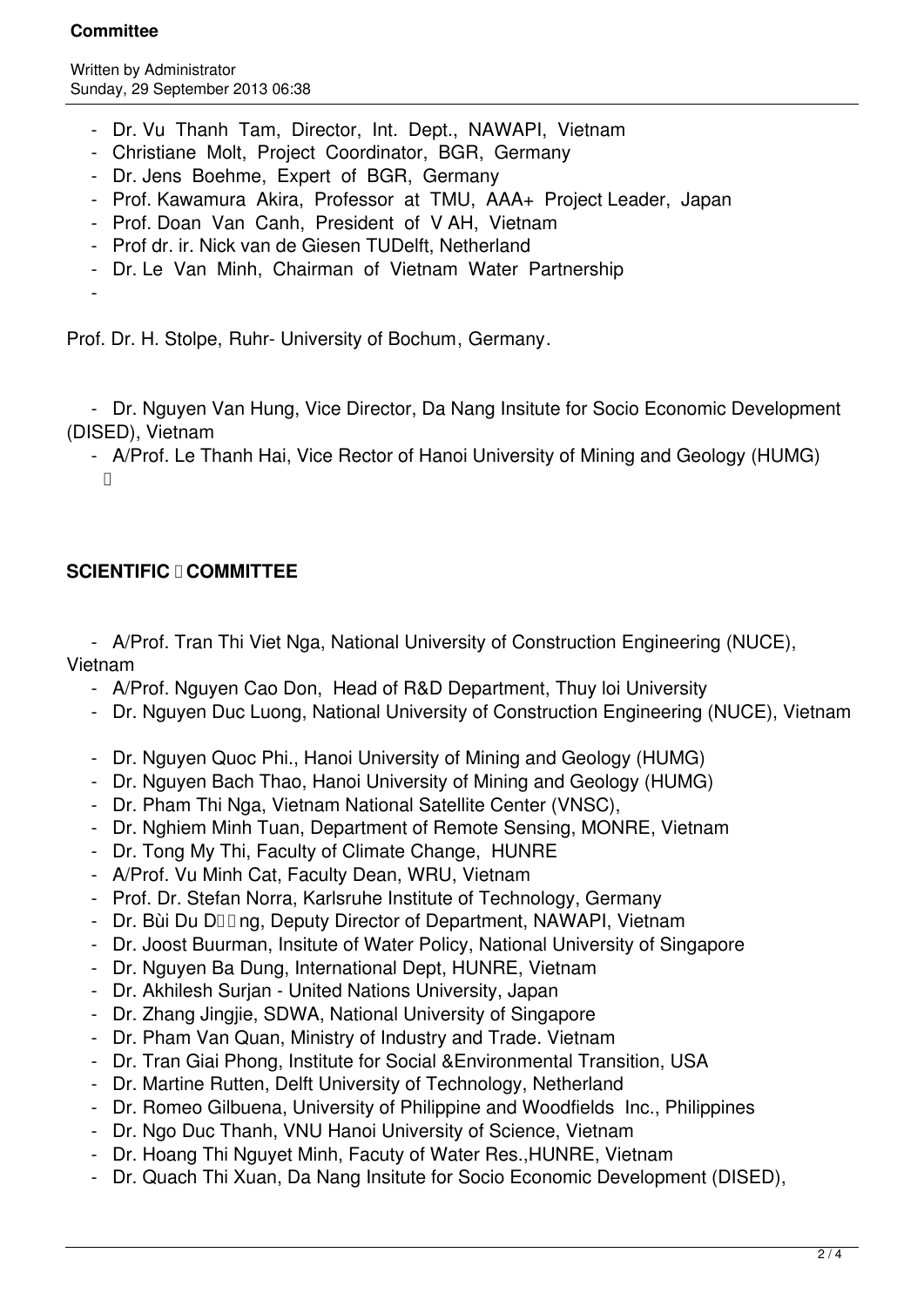- Dr. Vu Thanh Tam, Director, Int. Dept., NAWAPI, Vietnam
- Christiane Molt, Project Coordinator, BGR, Germany
- Dr. Jens Boehme, Expert of BGR, Germany
- Prof. Kawamura Akira, Professor at TMU, AAA+ Project Leader, Japan
- Prof. Doan Van Canh, President of V AH, Vietnam
- Prof dr. ir. Nick van de Giesen TUDelft, Netherland
- Dr. Le Van Minh, Chairman of Vietnam Water Partnership

 $\sim$   $-$ 

Prof. Dr. H. Stolpe, Ruhr- University of Bochum, Germany.

 - Dr. Nguyen Van Hung, Vice Director, Da Nang Insitute for Socio Economic Development (DISED), Vietnam

 - A/Prof. Le Thanh Hai, Vice Rector of Hanoi University of Mining and Geology (HUMG) 

# **SCIENTIFIC <b>II** COMMITTEE

 - A/Prof. Tran Thi Viet Nga, National University of Construction Engineering (NUCE), Vietnam

- A/Prof. Nguyen Cao Don, Head of R&D Department, Thuy loi University
- Dr. Nguyen Duc Luong, National University of Construction Engineering (NUCE), Vietnam
- Dr. Nguyen Quoc Phi., Hanoi University of Mining and Geology (HUMG)
- Dr. Nguyen Bach Thao, Hanoi University of Mining and Geology (HUMG)
- Dr. Pham Thi Nga, Vietnam National Satellite Center (VNSC),
- Dr. Nghiem Minh Tuan, Department of Remote Sensing, MONRE, Vietnam
- Dr. Tong My Thi, Faculty of Climate Change, HUNRE
- A/Prof. Vu Minh Cat, Faculty Dean, WRU, Vietnam
- Prof. Dr. Stefan Norra, Karlsruhe Institute of Technology, Germany
- Dr. Bùi Du D**UIng, Deputy Director of Department, NAWAPI**, Vietnam
- Dr. Joost Buurman, Insitute of Water Policy, National University of Singapore
- Dr. Nguyen Ba Dung, International Dept, HUNRE, Vietnam
- Dr. Akhilesh Surjan United Nations University, Japan
- Dr. Zhang Jingjie, SDWA, National University of Singapore
- Dr. Pham Van Quan, Ministry of Industry and Trade. Vietnam
- Dr. Tran Giai Phong, Institute for Social &Environmental Transition, USA
- Dr. Martine Rutten, Delft University of Technology, Netherland
- Dr. Romeo Gilbuena, University of Philippine and Woodfields Inc., Philippines
- Dr. Ngo Duc Thanh, VNU Hanoi University of Science, Vietnam
- Dr. Hoang Thi Nguyet Minh, Facuty of Water Res.,HUNRE, Vietnam
- Dr. Quach Thi Xuan, Da Nang Insitute for Socio Economic Development (DISED),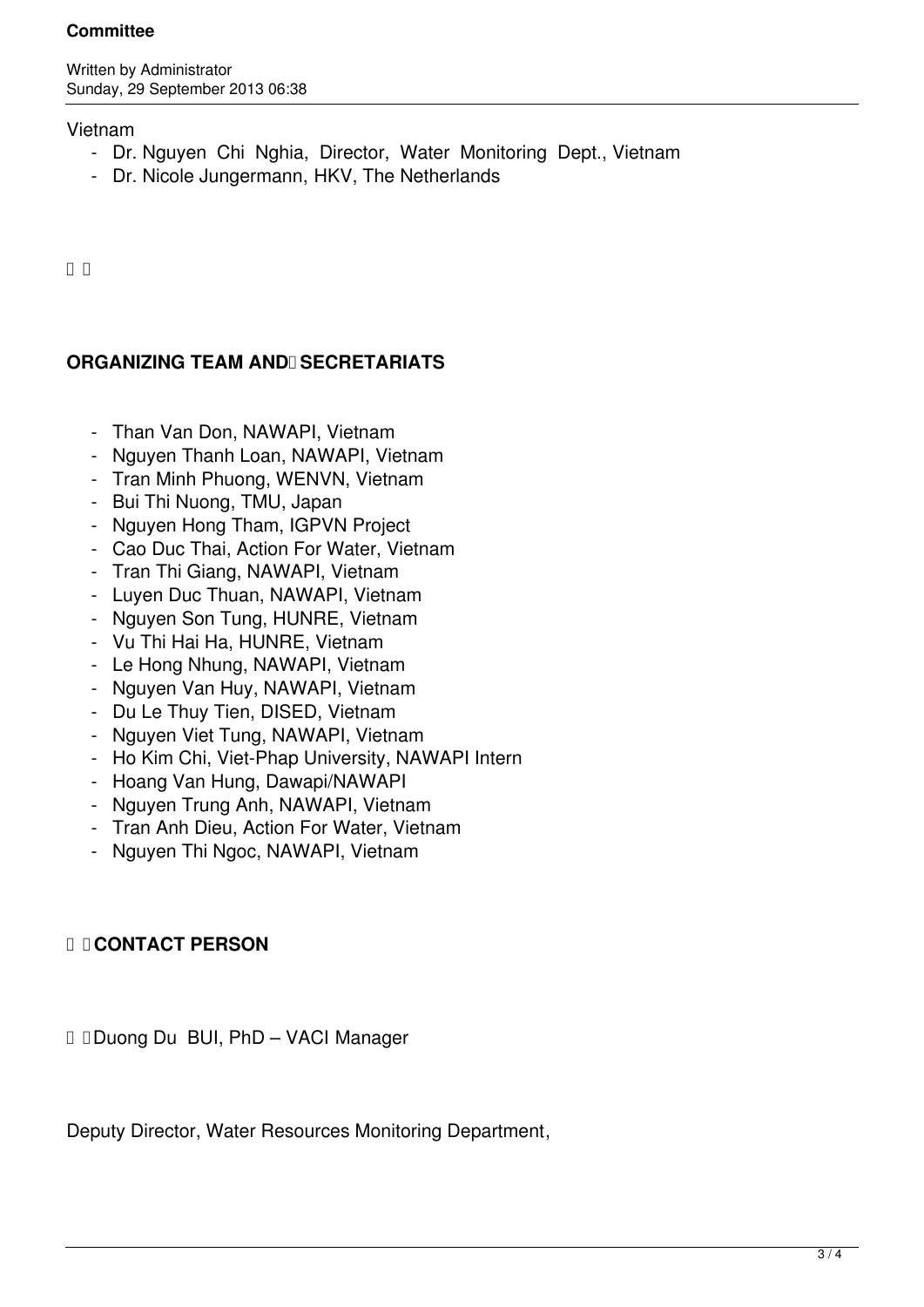#### **Committee**

Written by Administrator Sunday, 29 September 2013 06:38

#### Vietnam

- Dr. Nguyen Chi Nghia, Director, Water Monitoring Dept., Vietnam
- Dr. Nicole Jungermann, HKV, The Netherlands

 $\Box$   $\Box$ 

## **ORGANIZING TEAM AND SECRETARIATS**

- Than Van Don, NAWAPI, Vietnam
- Nguyen Thanh Loan, NAWAPI, Vietnam
- Tran Minh Phuong, WENVN, Vietnam
- Bui Thi Nuong, TMU, Japan
- Nguyen Hong Tham, IGPVN Project
- Cao Duc Thai, Action For Water, Vietnam
- Tran Thi Giang, NAWAPI, Vietnam
- Luyen Duc Thuan, NAWAPI, Vietnam
- Nguyen Son Tung, HUNRE, Vietnam
- Vu Thi Hai Ha, HUNRE, Vietnam
- Le Hong Nhung, NAWAPI, Vietnam
- Nguyen Van Huy, NAWAPI, Vietnam
- Du Le Thuy Tien, DISED, Vietnam
- Nguyen Viet Tung, NAWAPI, Vietnam
- Ho Kim Chi, Viet-Phap University, NAWAPI Intern
- Hoang Van Hung, Dawapi/NAWAPI
- Nguyen Trung Anh, NAWAPI, Vietnam
- Tran Anh Dieu, Action For Water, Vietnam
- Nguyen Thi Ngoc, NAWAPI, Vietnam

### **CONTACT PERSON**

Duong Du BUI, PhD – VACI Manager

Deputy Director, Water Resources Monitoring Department,